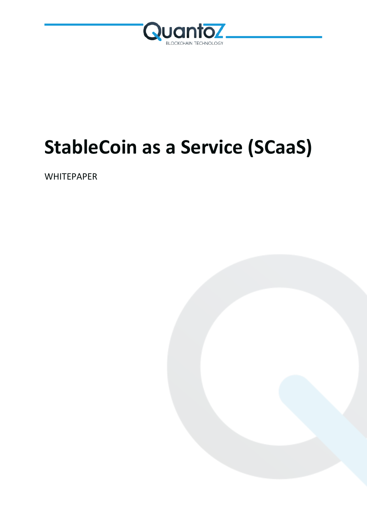

# **StableCoin as a Service (SCaaS)**

**WHITEPAPER** 

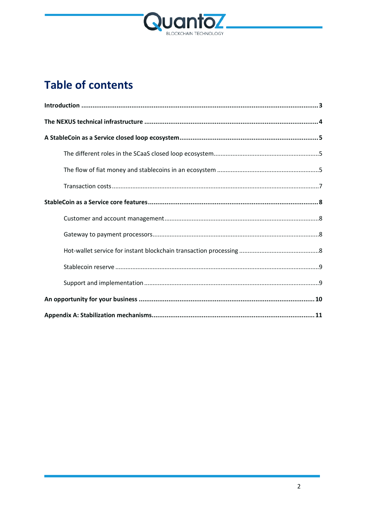

## **Table of contents**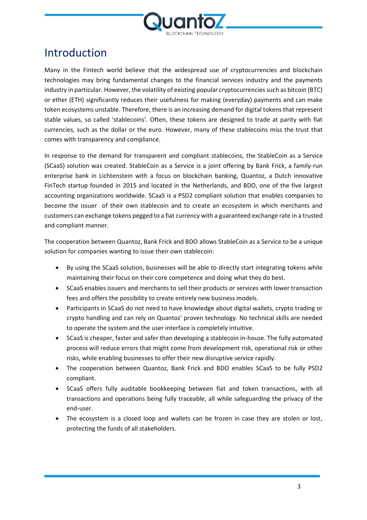

### <span id="page-2-0"></span>Introduction

Many in the Fintech world believe that the widespread use of cryptocurrencies and blockchain technologies may bring fundamental changes to the financial services industry and the payments industry in particular. However, the volatility of existing popular cryptocurrencies such as bitcoin (BTC) or ether (ETH) significantly reduces their usefulness for making (everyday) payments and can make token ecosystems unstable. Therefore, there is an increasing demand for digital tokens that represent stable values, so called 'stablecoins'. Often, these tokens are designed to trade at parity with fiat currencies, such as the dollar or the euro. However, many of these stablecoins miss the trust that comes with transparency and compliance.

In response to the demand for transparent and compliant stablecoins, the StableCoin as a Service (SCaaS) solution was created. StableCoin as a Service is a joint offering by Bank Frick, a family-run enterprise bank in Lichtenstein with a focus on blockchain banking, Quantoz, a Dutch innovative FinTech startup founded in 2015 and located in the Netherlands, and BDO, one of the five largest accounting organizations worldwide. SCaaS is a PSD2 compliant solution that enables companies to become the issuer of their own stablecoin and to create an ecosystem in which merchants and customers can exchange tokens pegged to a fiat currency with a guaranteed exchange rate in a trusted and compliant manner.

The cooperation between Quantoz, Bank Frick and BDO allows StableCoin as a Service to be a unique solution for companies wanting to issue their own stablecoin:

- By using the SCaaS solution, businesses will be able to directly start integrating tokens while maintaining their focus on their core competence and doing what they do best.
- SCaaS enables issuers and merchants to sell their products or services with lower transaction fees and offers the possibility to create entirely new business models.
- Participants in SCaaS do not need to have knowledge about digital wallets, crypto trading or crypto handling and can rely on Quantoz' proven technology. No technical skills are needed to operate the system and the user interface is completely intuitive.
- SCaaS is cheaper, faster and safer than developing a stablecoin in-house. The fully automated process will reduce errors that might come from development risk, operational risk or other risks, while enabling businesses to offer their new disruptive service rapidly.
- The cooperation between Quantoz, Bank Frick and BDO enables SCaaS to be fully PSD2 compliant.
- SCaaS offers fully auditable bookkeeping between fiat and token transactions, with all transactions and operations being fully traceable, all while safeguarding the privacy of the end-user.
- The ecosystem is a closed loop and wallets can be frozen in case they are stolen or lost, protecting the funds of all stakeholders.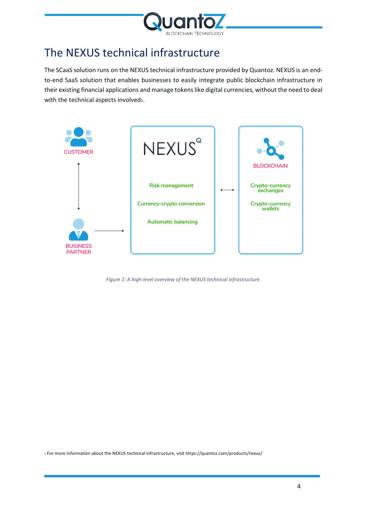

### <span id="page-3-0"></span>The NEXUS technical infrastructure

The SCaaS solution runs on the NEXUS technical infrastructure provided by Quantoz. NEXUS is an endto-end SaaS solution that enables businesses to easily integrate public blockchain infrastructure in their existing financial applications and manage tokens like digital currencies, without the need to deal with the technical aspects involved1.



*Figure 1: A high-level overview of the NEXUS technical infrastructure.*

<sup>1</sup> For more information about the NEXUS technical infrastructure, visit https://quantoz.com/products/nexus/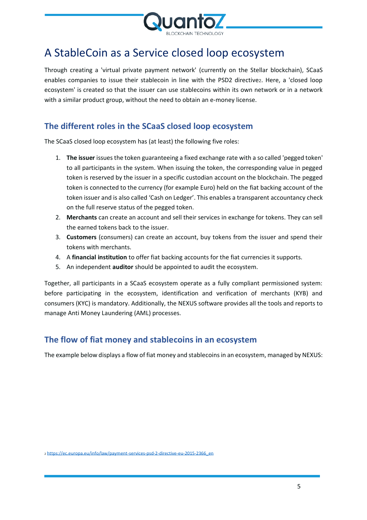

### <span id="page-4-0"></span>A StableCoin as a Service closed loop ecosystem

Through creating a 'virtual private payment network' (currently on the Stellar blockchain), SCaaS enables companies to issue their stablecoin in line with the PSD2 directive2. Here, a 'closed loop ecosystem' is created so that the issuer can use stablecoins within its own network or in a network with a similar product group, without the need to obtain an e-money license.

### <span id="page-4-1"></span>**The different roles in the SCaaS closed loop ecosystem**

The SCaaS closed loop ecosystem has (at least) the following five roles:

- 1. **The issuer** issues the token guaranteeing a fixed exchange rate with a so called 'pegged token' to all participants in the system. When issuing the token, the corresponding value in pegged token is reserved by the issuer in a specific custodian account on the blockchain. The pegged token is connected to the currency (for example Euro) held on the fiat backing account of the token issuer and is also called 'Cash on Ledger'. This enables a transparent accountancy check on the full reserve status of the pegged token.
- 2. **Merchants** can create an account and sell their services in exchange for tokens. They can sell the earned tokens back to the issuer.
- 3. **Customers** (consumers) can create an account, buy tokens from the issuer and spend their tokens with merchants.
- 4. A **financial institution** to offer fiat backing accounts for the fiat currencies it supports.
- 5. An independent **auditor** should be appointed to audit the ecosystem.

Together, all participants in a SCaaS ecosystem operate as a fully compliant permissioned system: before participating in the ecosystem, identification and verification of merchants (KYB) and consumers (KYC) is mandatory. Additionally, the NEXUS software provides all the tools and reports to manage Anti Money Laundering (AML) processes.

#### <span id="page-4-2"></span>**The flow of fiat money and stablecoins in an ecosystem**

The example below displays a flow of fiat money and stablecoinsin an ecosystem, managed by NEXUS: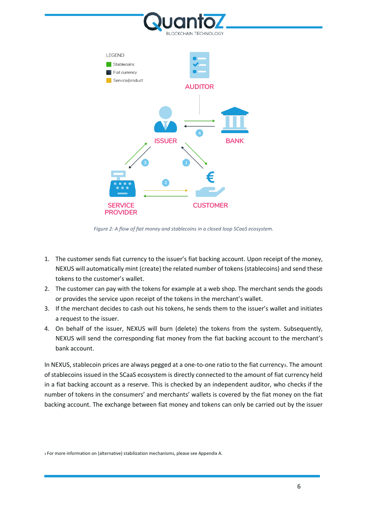



*Figure 2: A flow of fiat money and stablecoins in a closed loop SCaaS ecosystem.*

- 1. The customer sends fiat currency to the issuer's fiat backing account. Upon receipt of the money, NEXUS will automatically mint (create) the related number of tokens (stablecoins) and send these tokens to the customer's wallet.
- 2. The customer can pay with the tokens for example at a web shop. The merchant sends the goods or provides the service upon receipt of the tokens in the merchant's wallet.
- 3. If the merchant decides to cash out his tokens, he sends them to the issuer's wallet and initiates a request to the issuer.
- 4. On behalf of the issuer, NEXUS will burn (delete) the tokens from the system. Subsequently, NEXUS will send the corresponding fiat money from the fiat backing account to the merchant's bank account.

In NEXUS, stablecoin prices are always pegged at a one-to-one ratio to the fiat currency<sub>3</sub>. The amount of stablecoins issued in the SCaaS ecosystem is directly connected to the amount of fiat currency held in a fiat backing account as a reserve. This is checked by an independent auditor, who checks if the number of tokens in the consumers' and merchants' wallets is covered by the fiat money on the fiat backing account. The exchange between fiat money and tokens can only be carried out by the issuer

<sup>3</sup> For more information on (alternative) stabilization mechanisms, please see Appendix A.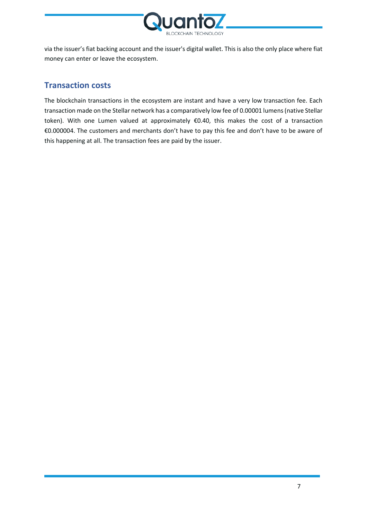

via the issuer's fiat backing account and the issuer's digital wallet. This is also the only place where fiat money can enter or leave the ecosystem.

#### <span id="page-6-0"></span>**Transaction costs**

The blockchain transactions in the ecosystem are instant and have a very low transaction fee. Each transaction made on the Stellar network has a comparatively low fee of 0.00001 lumens (native Stellar token). With one Lumen valued at approximately €0.40, this makes the cost of a transaction €0.000004. The customers and merchants don't have to pay this fee and don't have to be aware of this happening at all. The transaction fees are paid by the issuer.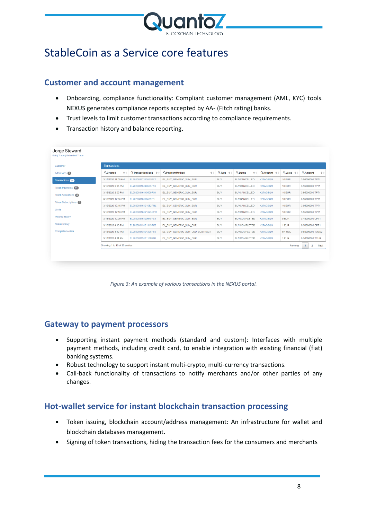

### <span id="page-7-0"></span>StableCoin as a Service core features

#### <span id="page-7-1"></span>**Customer and account management**

- Onboarding, compliance functionality: Compliant customer management (AML, KYC) tools. NEXUS generates compliance reports accepted by AA- (Fitch rating) banks.
- Trust levels to limit customer transactions according to compliance requirements.
- Transaction history and balance reporting.

| Customer                   | <b>Transactions</b>           |                            |                                              |                            |                     |                       |                  |                                               |  |
|----------------------------|-------------------------------|----------------------------|----------------------------------------------|----------------------------|---------------------|-----------------------|------------------|-----------------------------------------------|--|
| Addresses 2                | Q Created<br>$\div$           | Q TransactionCode $\oplus$ | Q PaymentMethod<br>$\Rightarrow$ $\triangle$ | $Q$ Type $\Leftrightarrow$ | Q Status<br>$\div$  | $Q$ Account $\approx$ | $Q$ Value $\phi$ | <b>QAmount</b><br>$\triangleq$                |  |
| <b>Transactions</b> 20     | 3/17/2020 11:00 AM            | EL20200317110051PYF        | EL BUY GENERIC XLM EUR                       | <b>BUY</b>                 | <b>BUYCANCELLED</b> | K27AGSQM              | <b>10 EUR</b>    | 3.95000000 TPT1                               |  |
| <b>Token Payments</b> 41   | 3/16/2020 2:05 PM             | EL20200316140535P93        | EL BUY GENERIC XLM EUR                       | <b>BUY</b>                 | <b>BUYCANCELLED</b> | K27AGSQM              | <b>10 EUR</b>    | 3.95000000 TPT1                               |  |
| Token Allowances (0)       | 3/16/2020 2:05 PM             | EL20200316140509PS1        | EL BUY GENERIC XLM EUR                       | <b>BUY</b>                 | <b>BUYCANCELLED</b> | K27AGSQM              | <b>10 EUR</b>    | 3.95000000 TPT1                               |  |
| <b>Token Subscriptions</b> | 3/16/2020 12:55 PM            | EL20200316125539P1I        | EL BUY_GENERIC_XLM_EUR                       | <b>BUY</b>                 | <b>BUYCANCELLED</b> | K27AGSQM              | 10 EUR           | 3.95000000 TPT1                               |  |
|                            | 3/16/2020 12:16 PM            | EL20200316121652PRL        | EL BUY GENERIC XLM EUR                       | <b>BUY</b>                 | <b>BUYCANCELLED</b> | K27AGSQM              | <b>10 EUR</b>    | 3.95000000 TPT1                               |  |
| Limits                     | 3/16/2020 12:10 PM            | EL20200316121025P2W        | EL BUY GENERIC XLM EUR                       | <b>BUY</b>                 | <b>BUYCANCELLED</b> | K27AGSQM              | <b>10 EUR</b>    | 3.95000000 TPT1                               |  |
| <b>Volume history</b>      | 3/16/2020 12:09 PM            | EL20200316120945PL9        | EL BUY GENERIC XLM EUR                       | <b>BUY</b>                 | <b>BUYCOMPLETED</b> | K27AGSQM              | 5 EUR            | 3.45000000 CPT1                               |  |
| <b>Status history</b>      | 3/13/2020 4:13 PM             | EL20200313161315PK8        | EL BUY GENERIC XLM EUR                       | <b>BUY</b>                 | <b>BUYCOMPLETED</b> | K27AGSQM              | 1 EUR            | 0.50000000 CPT1                               |  |
| <b>Completed orders</b>    | 3/13/2020 4:12 PM             | EL20200313161226P83        | EL_BUY_GENERIC_XLM_USD_SUBTRACT              | <b>BUY</b>                 | <b>BUYCOMPLETED</b> | K27AGSQM              | 0.1 USD          | 0.50000000 TUSD2                              |  |
|                            | 3/13/2020 4:11 PM             | EL20200313161139P9K        | EL BUY GENERIC XLM EUR                       | <b>BUY</b>                 | <b>BUYCOMPLETED</b> | K27AGSQM              | 1 EUR            | 0.50000000 TEUR                               |  |
|                            | Showing 1 to 10 of 20 entries |                            |                                              |                            |                     |                       | Previous         | $\mathbf{1}$<br>$\overline{2}$<br><b>Next</b> |  |

*Figure 3: An example of various transactions in the NEXUS portal.*

#### <span id="page-7-2"></span>**Gateway to payment processors**

- Supporting instant payment methods (standard and custom): Interfaces with multiple payment methods, including credit card, to enable integration with existing financial (fiat) banking systems.
- Robust technology to support instant multi-crypto, multi-currency transactions.
- Call-back functionality of transactions to notify merchants and/or other parties of any changes.

#### <span id="page-7-3"></span>**Hot-wallet service for instant blockchain transaction processing**

- Token issuing, blockchain account/address management: An infrastructure for wallet and blockchain databases management.
- Signing of token transactions, hiding the transaction fees for the consumers and merchants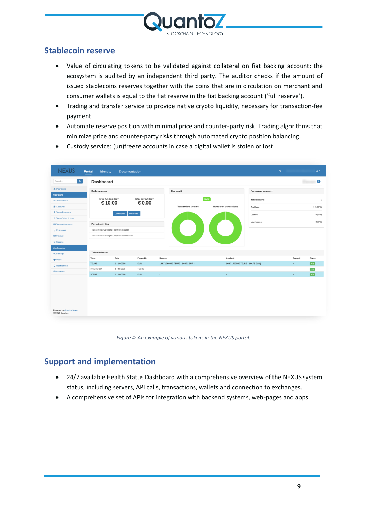

### <span id="page-8-0"></span>**Stablecoin reserve**

- Value of circulating tokens to be validated against collateral on fiat backing account: the ecosystem is audited by an independent third party. The auditor checks if the amount of issued stablecoins reserves together with the coins that are in circulation on merchant and consumer wallets is equal to the fiat reserve in the fiat backing account ('full reserve').
- Trading and transfer service to provide native crypto liquidity, necessary for transaction-fee payment.
- Automate reserve position with minimal price and counter-party risk: Trading algorithms that minimize price and counter-party risks through automated crypto position balancing.

| a <br>Search                                                       | Dashboard                                     |                        |                              |                                 |                                 |                       |        | $\bullet$           |
|--------------------------------------------------------------------|-----------------------------------------------|------------------------|------------------------------|---------------------------------|---------------------------------|-----------------------|--------|---------------------|
| <b>B</b> Dashboard                                                 |                                               |                        |                              |                                 |                                 |                       |        |                     |
| <b>Operations</b>                                                  | Daily summary                                 |                        |                              | Day result                      |                                 | Fee payers summary    |        |                     |
| $\rightleftarrows$ Transactions                                    | Total funding (day)<br>€ 10.00                |                        | Total payout (day)<br>€ 0.00 |                                 | <b>TEUR3</b>                    | <b>Total accounts</b> |        |                     |
| Accounts                                                           |                                               |                        |                              | <b>Transactions volume</b>      | Number of transactions          | Available             |        | 1 (100%)            |
| € Token Payments                                                   |                                               | Compliance             | Financials                   |                                 |                                 | Locked                |        | 0(0%                |
| <b><i>I</i></b> Token Subscriptions                                |                                               |                        |                              |                                 |                                 | Low balance           |        | 0(0%)               |
| <b>ED</b> Token Allowances                                         | <b>Payout activities</b>                      |                        |                              | $\bullet$                       | $\bigcup$                       |                       |        |                     |
| <b>A</b> Customers                                                 | Transactions waiting for payment initiation   |                        |                              |                                 |                                 |                       |        |                     |
| <b>EI</b> Payouts                                                  | Transactions waiting for payment confirmation |                        |                              |                                 |                                 |                       |        |                     |
| Reports                                                            |                                               |                        |                              |                                 |                                 |                       |        |                     |
| Configuration                                                      |                                               |                        |                              |                                 |                                 |                       |        |                     |
| <b>O</b> <sub>s</sub> <sup>2</sup> Settings                        | <b>Token Balances</b>                         |                        |                              |                                 |                                 |                       |        |                     |
|                                                                    | Token                                         | Rate                   | Pegged by                    | Balance                         | Available                       |                       | Pegged | <b>Status</b>       |
|                                                                    |                                               |                        |                              |                                 |                                 |                       |        |                     |
|                                                                    | <b>TEUR3</b>                                  | 1:1.00000              | <b>EUR</b>                   | 144.71500000 TEUR3 (144.72 EUR) | 144.71500000 TEUR3 (144.72 EUR) |                       | $\sim$ | $\sqrt{6}$ ok       |
| <b>皆 Users</b><br>$\triangle$ Notifications<br><b>M</b> Blacklists | MACHCRED<br><b>SCEUR</b>                      | 1:0.01000<br>1:1.00000 | TEUR3<br><b>EUR</b>          | $\sim$<br>$\sim$                | $\sim$<br>$\sim$                |                       | $\sim$ | $\sim$ ek<br>$V$ ok |

• Custody service: (un)freeze accounts in case a digital wallet is stolen or lost.

*Figure 4: An example of various tokens in the NEXUS portal.*

#### <span id="page-8-1"></span>**Support and implementation**

- 24/7 available Health Status Dashboard with a comprehensive overview of the NEXUS system status, including servers, API calls, transactions, wallets and connection to exchanges.
- A comprehensive set of APIs for integration with backend systems, web-pages and apps.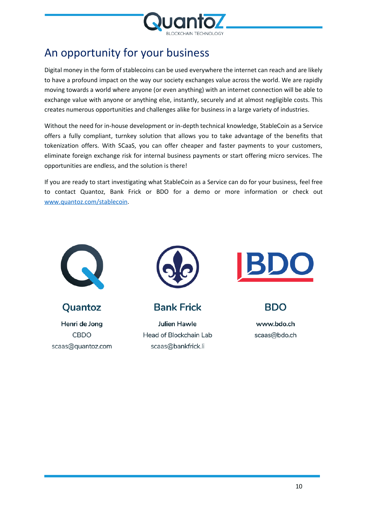

### <span id="page-9-0"></span>An opportunity for your business

Digital money in the form of stablecoins can be used everywhere the internet can reach and are likely to have a profound impact on the way our society exchanges value across the world. We are rapidly moving towards a world where anyone (or even anything) with an internet connection will be able to exchange value with anyone or anything else, instantly, securely and at almost negligible costs. This creates numerous opportunities and challenges alike for business in a large variety of industries.

Without the need for in-house development or in-depth technical knowledge, StableCoin as a Service offers a fully compliant, turnkey solution that allows you to take advantage of the benefits that tokenization offers. With SCaaS, you can offer cheaper and faster payments to your customers, eliminate foreign exchange risk for internal business payments or start offering micro services. The opportunities are endless, and the solution is there!

If you are ready to start investigating what StableCoin as a Service can do for your business, feel free to contact Quantoz, Bank Frick or BDO for a demo or more information or check out [www.quantoz.com/stablecoin.](http://www.quantoz.com/stablecoin)



Quantoz

Henri de Jong **CBDO** scaas@quantoz.com



**Bank Frick** 

**Julien Hawle** Head of Blockchain Lab scaas@bankfrick.li



**BDO** 

www.bdo.ch scaas@bdo.ch